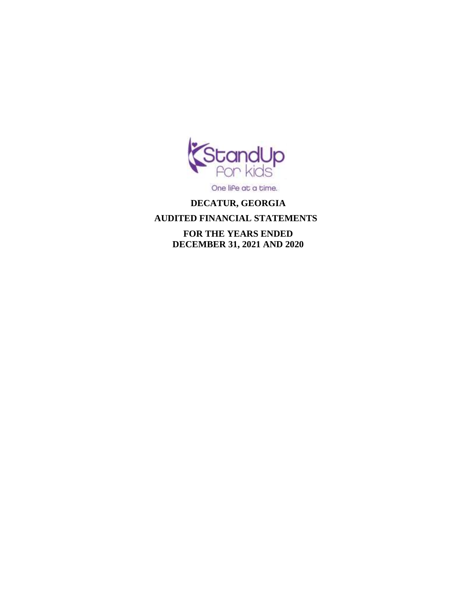

One life at a time.

# **DECATUR, GEORGIA**

# **AUDITED FINANCIAL STATEMENTS**

 **FOR THE YEARS ENDED DECEMBER 31, 2021 AND 2020**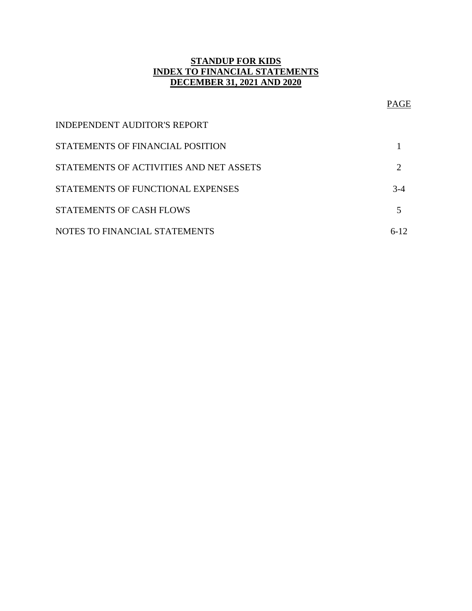# **STANDUP FOR KIDS INDEX TO FINANCIAL STATEMENTS DECEMBER 31, 2021 AND 2020**

# PAGE

| INDEPENDENT AUDITOR'S REPORT            |        |
|-----------------------------------------|--------|
| STATEMENTS OF FINANCIAL POSITION        |        |
| STATEMENTS OF ACTIVITIES AND NET ASSETS |        |
| STATEMENTS OF FUNCTIONAL EXPENSES       | $3-4$  |
| STATEMENTS OF CASH FLOWS                |        |
| NOTES TO FINANCIAL STATEMENTS           | $6-12$ |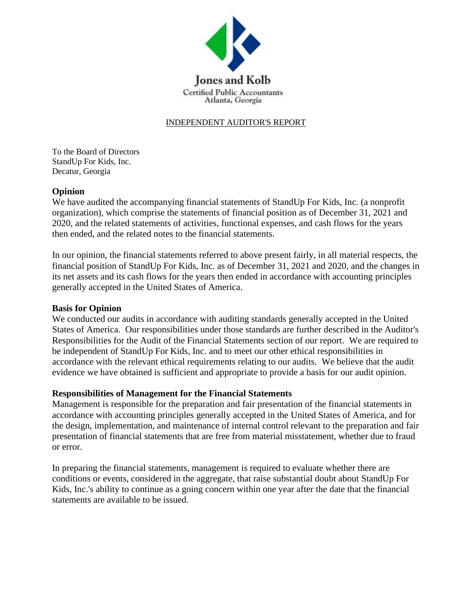

### INDEPENDENT AUDITOR'S REPORT

To the Board of Directors StandUp For Kids, Inc. Decatur, Georgia

## **Opinion**

We have audited the accompanying financial statements of StandUp For Kids, Inc. (a nonprofit organization), which comprise the statements of financial position as of December 31, 2021 and 2020, and the related statements of activities, functional expenses, and cash flows for the years then ended, and the related notes to the financial statements.

In our opinion, the financial statements referred to above present fairly, in all material respects, the financial position of StandUp For Kids, Inc. as of December 31, 2021 and 2020, and the changes in its net assets and its cash flows for the years then ended in accordance with accounting principles generally accepted in the United States of America.

### **Basis for Opinion**

We conducted our audits in accordance with auditing standards generally accepted in the United States of America. Our responsibilities under those standards are further described in the Auditor's Responsibilities for the Audit of the Financial Statements section of our report. We are required to be independent of StandUp For Kids, Inc. and to meet our other ethical responsibilities in accordance with the relevant ethical requirements relating to our audits. We believe that the audit evidence we have obtained is sufficient and appropriate to provide a basis for our audit opinion.

## **Responsibilities of Management for the Financial Statements**

Management is responsible for the preparation and fair presentation of the financial statements in accordance with accounting principles generally accepted in the United States of America, and for the design, implementation, and maintenance of internal control relevant to the preparation and fair presentation of financial statements that are free from material misstatement, whether due to fraud or error.

In preparing the financial statements, management is required to evaluate whether there are conditions or events, considered in the aggregate, that raise substantial doubt about StandUp For Kids, Inc.'s ability to continue as a going concern within one year after the date that the financial statements are available to be issued.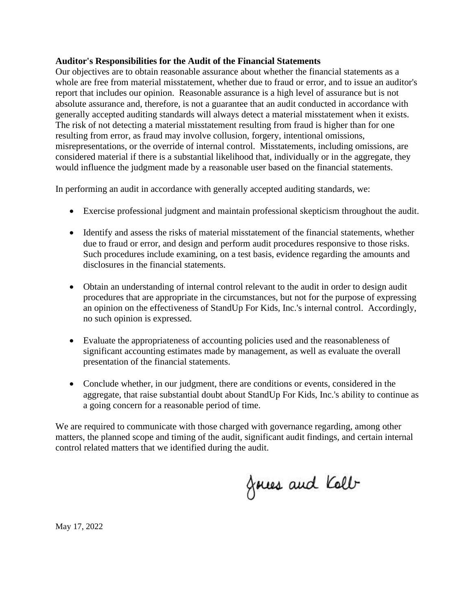### **Auditor's Responsibilities for the Audit of the Financial Statements**

Our objectives are to obtain reasonable assurance about whether the financial statements as a whole are free from material misstatement, whether due to fraud or error, and to issue an auditor's report that includes our opinion. Reasonable assurance is a high level of assurance but is not absolute assurance and, therefore, is not a guarantee that an audit conducted in accordance with generally accepted auditing standards will always detect a material misstatement when it exists. The risk of not detecting a material misstatement resulting from fraud is higher than for one resulting from error, as fraud may involve collusion, forgery, intentional omissions, misrepresentations, or the override of internal control. Misstatements, including omissions, are considered material if there is a substantial likelihood that, individually or in the aggregate, they would influence the judgment made by a reasonable user based on the financial statements.

In performing an audit in accordance with generally accepted auditing standards, we:

- Exercise professional judgment and maintain professional skepticism throughout the audit.
- Identify and assess the risks of material misstatement of the financial statements, whether due to fraud or error, and design and perform audit procedures responsive to those risks. Such procedures include examining, on a test basis, evidence regarding the amounts and disclosures in the financial statements.
- Obtain an understanding of internal control relevant to the audit in order to design audit procedures that are appropriate in the circumstances, but not for the purpose of expressing an opinion on the effectiveness of StandUp For Kids, Inc.'s internal control. Accordingly, no such opinion is expressed.
- Evaluate the appropriateness of accounting policies used and the reasonableness of significant accounting estimates made by management, as well as evaluate the overall presentation of the financial statements.
- Conclude whether, in our judgment, there are conditions or events, considered in the aggregate, that raise substantial doubt about StandUp For Kids, Inc.'s ability to continue as a going concern for a reasonable period of time.

We are required to communicate with those charged with governance regarding, among other matters, the planned scope and timing of the audit, significant audit findings, and certain internal control related matters that we identified during the audit.

Joues and Kolb

May 17, 2022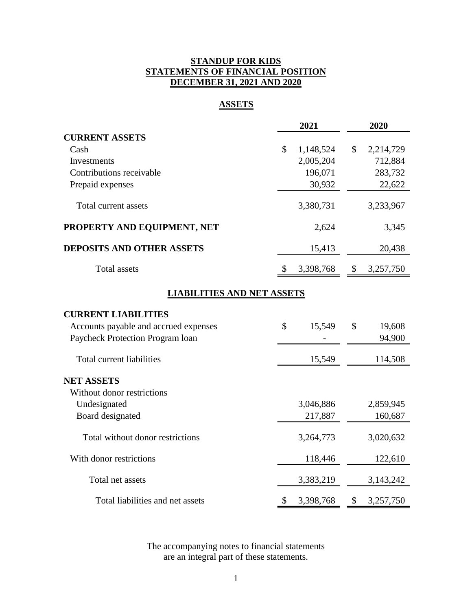## **STANDUP FOR KIDS STATEMENTS OF FINANCIAL POSITION DECEMBER 31, 2021 AND 2020**

# **ASSETS**

|                                       |               | 2021      | 2020            |
|---------------------------------------|---------------|-----------|-----------------|
| <b>CURRENT ASSETS</b>                 |               |           |                 |
| Cash                                  | \$            | 1,148,524 | \$<br>2,214,729 |
| <b>Investments</b>                    |               | 2,005,204 | 712,884         |
| Contributions receivable              |               | 196,071   | 283,732         |
| Prepaid expenses                      |               | 30,932    | 22,622          |
| Total current assets                  |               | 3,380,731 | 3,233,967       |
| PROPERTY AND EQUIPMENT, NET           |               | 2,624     | 3,345           |
| <b>DEPOSITS AND OTHER ASSETS</b>      |               | 15,413    | 20,438          |
| <b>Total assets</b>                   | $\mathbb{S}$  | 3,398,768 | \$<br>3,257,750 |
| <b>LIABILITIES AND NET ASSETS</b>     |               |           |                 |
| <b>CURRENT LIABILITIES</b>            |               |           |                 |
| Accounts payable and accrued expenses | $\mathcal{S}$ | 15,549    | \$<br>19,608    |
| Paycheck Protection Program loan      |               |           | 94,900          |
| <b>Total current liabilities</b>      |               | 15,549    | 114,508         |
| <b>NET ASSETS</b>                     |               |           |                 |
| Without donor restrictions            |               |           |                 |
| Undesignated                          |               | 3,046,886 | 2,859,945       |
| Board designated                      |               | 217,887   | 160,687         |
| Total without donor restrictions      |               | 3,264,773 | 3,020,632       |
| With donor restrictions               |               | 118,446   | 122,610         |
| Total net assets                      |               | 3,383,219 | 3,143,242       |

Total liabilities and net assets \$ 3,398,768 \$ 3,257,750

The accompanying notes to financial statements are an integral part of these statements.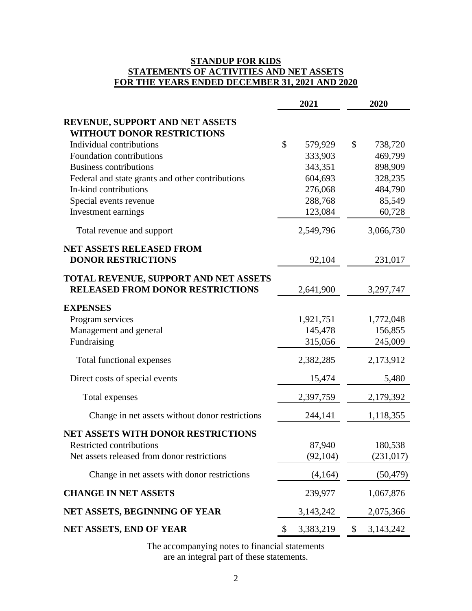## **STANDUP FOR KIDS STATEMENTS OF ACTIVITIES AND NET ASSETS FOR THE YEARS ENDED DECEMBER 31, 2021 AND 2020**

|                                                  | 2021            | 2020              |
|--------------------------------------------------|-----------------|-------------------|
| REVENUE, SUPPORT AND NET ASSETS                  |                 |                   |
| <b>WITHOUT DONOR RESTRICTIONS</b>                |                 |                   |
| Individual contributions                         | \$<br>579,929   | \$<br>738,720     |
| Foundation contributions                         | 333,903         | 469,799           |
| <b>Business contributions</b>                    | 343,351         | 898,909           |
| Federal and state grants and other contributions | 604,693         | 328,235           |
| In-kind contributions                            | 276,068         | 484,790           |
| Special events revenue                           | 288,768         | 85,549            |
| Investment earnings                              | 123,084         | 60,728            |
| Total revenue and support                        | 2,549,796       | 3,066,730         |
| <b>NET ASSETS RELEASED FROM</b>                  |                 |                   |
| <b>DONOR RESTRICTIONS</b>                        | 92,104          | 231,017           |
| TOTAL REVENUE, SUPPORT AND NET ASSETS            |                 |                   |
| <b>RELEASED FROM DONOR RESTRICTIONS</b>          | 2,641,900       | 3,297,747         |
| <b>EXPENSES</b>                                  |                 |                   |
| Program services                                 | 1,921,751       | 1,772,048         |
| Management and general                           | 145,478         | 156,855           |
| Fundraising                                      | 315,056         | 245,009           |
| Total functional expenses                        | 2,382,285       | 2,173,912         |
| Direct costs of special events                   | 15,474          | 5,480             |
| Total expenses                                   | 2,397,759       | 2,179,392         |
| Change in net assets without donor restrictions  | 244,141         | 1,118,355         |
| <b>NET ASSETS WITH DONOR RESTRICTIONS</b>        |                 |                   |
| Restricted contributions                         | 87,940          | 180,538           |
| Net assets released from donor restrictions      | (92, 104)       | (231, 017)        |
| Change in net assets with donor restrictions     | (4,164)         | (50, 479)         |
| <b>CHANGE IN NET ASSETS</b>                      | 239,977         | 1,067,876         |
| NET ASSETS, BEGINNING OF YEAR                    | 3,143,242       | 2,075,366         |
| NET ASSETS, END OF YEAR                          | \$<br>3,383,219 | \$<br>3, 143, 242 |

The accompanying notes to financial statements are an integral part of these statements.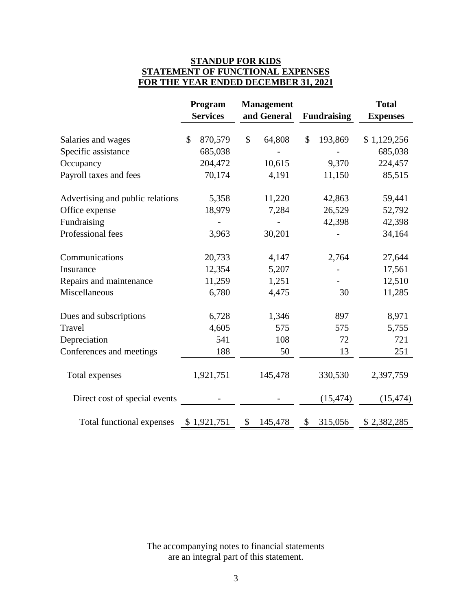## **STANDUP FOR KIDS STATEMENT OF FUNCTIONAL EXPENSES FOR THE YEAR ENDED DECEMBER 31, 2021**

|                                  |               | Program<br><b>Services</b> |               | <b>Management</b><br>and General | <b>Fundraising</b> | <b>Total</b><br><b>Expenses</b> |
|----------------------------------|---------------|----------------------------|---------------|----------------------------------|--------------------|---------------------------------|
| Salaries and wages               | $\mathcal{S}$ | 870,579                    | $\mathsf{\$}$ | 64,808                           | \$<br>193,869      | \$1,129,256                     |
| Specific assistance              |               | 685,038                    |               |                                  |                    | 685,038                         |
| Occupancy                        |               | 204,472                    |               | 10,615                           | 9,370              | 224,457                         |
| Payroll taxes and fees           |               | 70,174                     |               | 4,191                            | 11,150             | 85,515                          |
| Advertising and public relations |               | 5,358                      |               | 11,220                           | 42,863             | 59,441                          |
| Office expense                   |               | 18,979                     |               | 7,284                            | 26,529             | 52,792                          |
| Fundraising                      |               |                            |               |                                  | 42,398             | 42,398                          |
| Professional fees                |               | 3,963                      |               | 30,201                           |                    | 34,164                          |
| Communications                   |               | 20,733                     |               | 4,147                            | 2,764              | 27,644                          |
| Insurance                        |               | 12,354                     |               | 5,207                            |                    | 17,561                          |
| Repairs and maintenance          |               | 11,259                     |               | 1,251                            |                    | 12,510                          |
| Miscellaneous                    |               | 6,780                      |               | 4,475                            | 30                 | 11,285                          |
| Dues and subscriptions           |               | 6,728                      |               | 1,346                            | 897                | 8,971                           |
| Travel                           |               | 4,605                      |               | 575                              | 575                | 5,755                           |
| Depreciation                     |               | 541                        |               | 108                              | 72                 | 721                             |
| Conferences and meetings         |               | 188                        |               | 50                               | 13                 | 251                             |
| Total expenses                   |               | 1,921,751                  |               | 145,478                          | 330,530            | 2,397,759                       |
| Direct cost of special events    |               |                            |               |                                  | (15, 474)          | (15, 474)                       |
| Total functional expenses        |               | \$1,921,751                | \$            | 145,478                          | \$<br>315,056      | \$2,382,285                     |

The accompanying notes to financial statements are an integral part of this statement.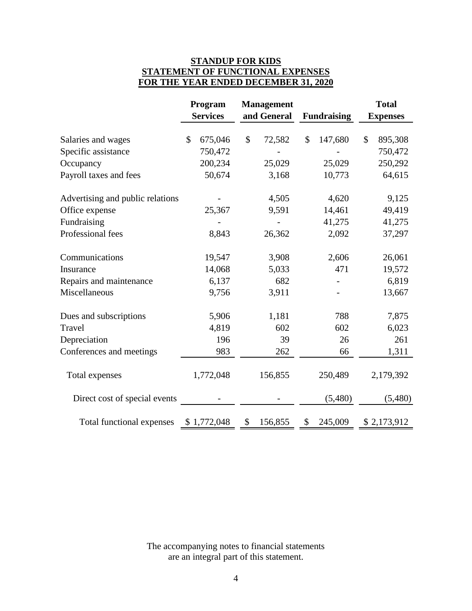## **STANDUP FOR KIDS STATEMENT OF FUNCTIONAL EXPENSES FOR THE YEAR ENDED DECEMBER 31, 2020**

|                                  | Program<br><b>Management</b> |                 |               |    | <b>Total</b>       |    |                 |
|----------------------------------|------------------------------|-----------------|---------------|----|--------------------|----|-----------------|
|                                  |                              | <b>Services</b> | and General   |    | <b>Fundraising</b> |    | <b>Expenses</b> |
| Salaries and wages               | \$                           | 675,046         | \$<br>72,582  | \$ | 147,680            | \$ | 895,308         |
| Specific assistance              |                              | 750,472         |               |    |                    |    | 750,472         |
| Occupancy                        |                              | 200,234         | 25,029        |    | 25,029             |    | 250,292         |
| Payroll taxes and fees           |                              | 50,674          | 3,168         |    | 10,773             |    | 64,615          |
| Advertising and public relations |                              |                 | 4,505         |    | 4,620              |    | 9,125           |
| Office expense                   |                              | 25,367          | 9,591         |    | 14,461             |    | 49,419          |
| Fundraising                      |                              |                 |               |    | 41,275             |    | 41,275          |
| Professional fees                |                              | 8,843           | 26,362        |    | 2,092              |    | 37,297          |
| Communications                   |                              | 19,547          | 3,908         |    | 2,606              |    | 26,061          |
| Insurance                        |                              | 14,068          | 5,033         |    | 471                |    | 19,572          |
| Repairs and maintenance          |                              | 6,137           | 682           |    |                    |    | 6,819           |
| Miscellaneous                    |                              | 9,756           | 3,911         |    |                    |    | 13,667          |
| Dues and subscriptions           |                              | 5,906           | 1,181         |    | 788                |    | 7,875           |
| Travel                           |                              | 4,819           | 602           |    | 602                |    | 6,023           |
| Depreciation                     |                              | 196             | 39            |    | 26                 |    | 261             |
| Conferences and meetings         |                              | 983             | 262           |    | 66                 |    | 1,311           |
| Total expenses                   |                              | 1,772,048       | 156,855       |    | 250,489            |    | 2,179,392       |
| Direct cost of special events    |                              |                 |               |    | (5,480)            |    | (5,480)         |
| Total functional expenses        |                              | \$1,772,048     | \$<br>156,855 | \$ | 245,009            |    | \$2,173,912     |

The accompanying notes to financial statements are an integral part of this statement.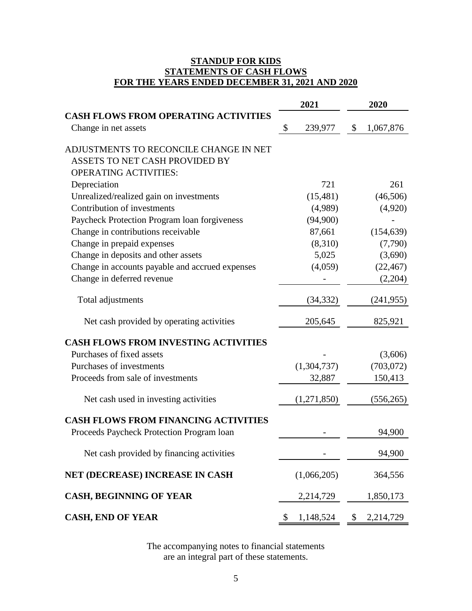## **STANDUP FOR KIDS STATEMENTS OF CASH FLOWS FOR THE YEARS ENDED DECEMBER 31, 2021 AND 2020**

|                                                 |               | 2021        | 2020         |            |  |
|-------------------------------------------------|---------------|-------------|--------------|------------|--|
| <b>CASH FLOWS FROM OPERATING ACTIVITIES</b>     |               |             |              |            |  |
| Change in net assets                            | \$            | 239,977     | \$           | 1,067,876  |  |
| ADJUSTMENTS TO RECONCILE CHANGE IN NET          |               |             |              |            |  |
| ASSETS TO NET CASH PROVIDED BY                  |               |             |              |            |  |
| <b>OPERATING ACTIVITIES:</b>                    |               |             |              |            |  |
| Depreciation                                    |               | 721         |              | 261        |  |
| Unrealized/realized gain on investments         |               | (15, 481)   |              | (46,506)   |  |
| Contribution of investments                     |               | (4,989)     |              | (4,920)    |  |
| Paycheck Protection Program loan forgiveness    |               | (94,900)    |              |            |  |
| Change in contributions receivable              |               | 87,661      |              | (154, 639) |  |
| Change in prepaid expenses                      |               | (8,310)     |              | (7,790)    |  |
| Change in deposits and other assets             |               | 5,025       |              | (3,690)    |  |
| Change in accounts payable and accrued expenses |               | (4,059)     |              | (22, 467)  |  |
| Change in deferred revenue                      |               |             |              | (2,204)    |  |
| Total adjustments                               |               | (34, 332)   |              | (241, 955) |  |
| Net cash provided by operating activities       |               | 205,645     |              | 825,921    |  |
| <b>CASH FLOWS FROM INVESTING ACTIVITIES</b>     |               |             |              |            |  |
| Purchases of fixed assets                       |               |             |              | (3,606)    |  |
| Purchases of investments                        |               | (1,304,737) |              | (703,072)  |  |
| Proceeds from sale of investments               |               | 32,887      |              | 150,413    |  |
| Net cash used in investing activities           |               | (1,271,850) |              | (556, 265) |  |
| <b>CASH FLOWS FROM FINANCING ACTIVITIES</b>     |               |             |              |            |  |
| Proceeds Paycheck Protection Program Ioan       |               |             |              | 94,900     |  |
| Net cash provided by financing activities       |               |             |              | 94,900     |  |
| NET (DECREASE) INCREASE IN CASH                 |               | (1,066,205) |              | 364,556    |  |
| <b>CASH, BEGINNING OF YEAR</b>                  |               | 2,214,729   |              | 1,850,173  |  |
| <b>CASH, END OF YEAR</b>                        | $\mathcal{S}$ | 1,148,524   | $\mathbb{S}$ | 2,214,729  |  |

The accompanying notes to financial statements are an integral part of these statements.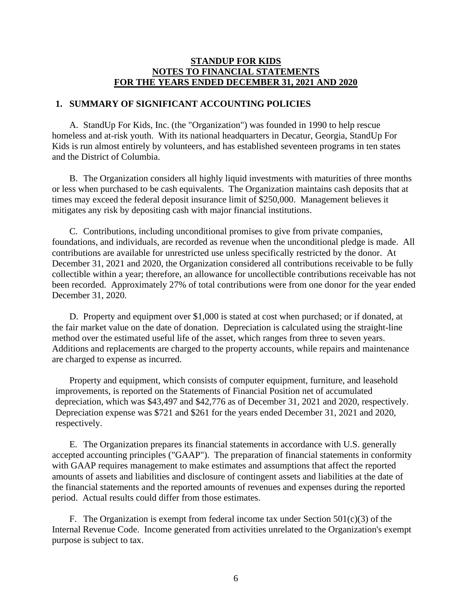#### **1. SUMMARY OF SIGNIFICANT ACCOUNTING POLICIES**

A. StandUp For Kids, Inc. (the "Organization") was founded in 1990 to help rescue homeless and at-risk youth. With its national headquarters in Decatur, Georgia, StandUp For Kids is run almost entirely by volunteers, and has established seventeen programs in ten states and the District of Columbia.

B. The Organization considers all highly liquid investments with maturities of three months or less when purchased to be cash equivalents. The Organization maintains cash deposits that at times may exceed the federal deposit insurance limit of \$250,000. Management believes it mitigates any risk by depositing cash with major financial institutions.

C. Contributions, including unconditional promises to give from private companies, foundations, and individuals, are recorded as revenue when the unconditional pledge is made. All contributions are available for unrestricted use unless specifically restricted by the donor. At December 31, 2021 and 2020, the Organization considered all contributions receivable to be fully collectible within a year; therefore, an allowance for uncollectible contributions receivable has not been recorded. Approximately 27% of total contributions were from one donor for the year ended December 31, 2020.

D. Property and equipment over \$1,000 is stated at cost when purchased; or if donated, at the fair market value on the date of donation. Depreciation is calculated using the straight-line method over the estimated useful life of the asset, which ranges from three to seven years. Additions and replacements are charged to the property accounts, while repairs and maintenance are charged to expense as incurred.

Property and equipment, which consists of computer equipment, furniture, and leasehold improvements, is reported on the Statements of Financial Position net of accumulated depreciation, which was \$43,497 and \$42,776 as of December 31, 2021 and 2020, respectively. Depreciation expense was \$721 and \$261 for the years ended December 31, 2021 and 2020, respectively.

E. The Organization prepares its financial statements in accordance with U.S. generally accepted accounting principles ("GAAP"). The preparation of financial statements in conformity with GAAP requires management to make estimates and assumptions that affect the reported amounts of assets and liabilities and disclosure of contingent assets and liabilities at the date of the financial statements and the reported amounts of revenues and expenses during the reported period. Actual results could differ from those estimates.

F. The Organization is exempt from federal income tax under Section  $501(c)(3)$  of the Internal Revenue Code. Income generated from activities unrelated to the Organization's exempt purpose is subject to tax.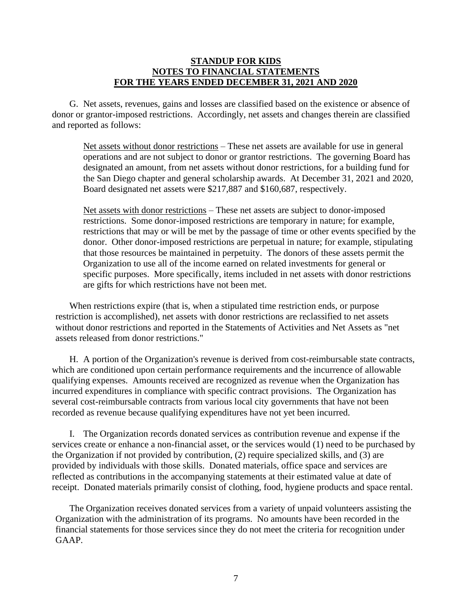G. Net assets, revenues, gains and losses are classified based on the existence or absence of donor or grantor-imposed restrictions. Accordingly, net assets and changes therein are classified and reported as follows:

Net assets without donor restrictions – These net assets are available for use in general operations and are not subject to donor or grantor restrictions. The governing Board has designated an amount, from net assets without donor restrictions, for a building fund for the San Diego chapter and general scholarship awards. At December 31, 2021 and 2020, Board designated net assets were \$217,887 and \$160,687, respectively.

Net assets with donor restrictions – These net assets are subject to donor-imposed restrictions. Some donor-imposed restrictions are temporary in nature; for example, restrictions that may or will be met by the passage of time or other events specified by the donor. Other donor-imposed restrictions are perpetual in nature; for example, stipulating that those resources be maintained in perpetuity. The donors of these assets permit the Organization to use all of the income earned on related investments for general or specific purposes. More specifically, items included in net assets with donor restrictions are gifts for which restrictions have not been met.

When restrictions expire (that is, when a stipulated time restriction ends, or purpose restriction is accomplished), net assets with donor restrictions are reclassified to net assets without donor restrictions and reported in the Statements of Activities and Net Assets as "net assets released from donor restrictions."

H. A portion of the Organization's revenue is derived from cost-reimbursable state contracts, which are conditioned upon certain performance requirements and the incurrence of allowable qualifying expenses. Amounts received are recognized as revenue when the Organization has incurred expenditures in compliance with specific contract provisions. The Organization has several cost-reimbursable contracts from various local city governments that have not been recorded as revenue because qualifying expenditures have not yet been incurred.

I. The Organization records donated services as contribution revenue and expense if the services create or enhance a non-financial asset, or the services would (1) need to be purchased by the Organization if not provided by contribution, (2) require specialized skills, and (3) are provided by individuals with those skills. Donated materials, office space and services are reflected as contributions in the accompanying statements at their estimated value at date of receipt. Donated materials primarily consist of clothing, food, hygiene products and space rental.

The Organization receives donated services from a variety of unpaid volunteers assisting the Organization with the administration of its programs. No amounts have been recorded in the financial statements for those services since they do not meet the criteria for recognition under GAAP.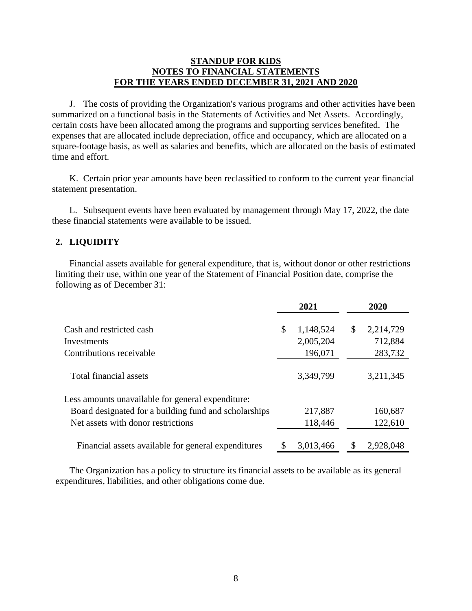J. The costs of providing the Organization's various programs and other activities have been summarized on a functional basis in the Statements of Activities and Net Assets. Accordingly, certain costs have been allocated among the programs and supporting services benefited. The expenses that are allocated include depreciation, office and occupancy, which are allocated on a square-footage basis, as well as salaries and benefits, which are allocated on the basis of estimated time and effort.

K. Certain prior year amounts have been reclassified to conform to the current year financial statement presentation.

L. Subsequent events have been evaluated by management through May 17, 2022, the date these financial statements were available to be issued.

## **2. LIQUIDITY**

Financial assets available for general expenditure, that is, without donor or other restrictions limiting their use, within one year of the Statement of Financial Position date, comprise the following as of December 31:

|                                                                                                            |    | 2021                              | 2020                                  |
|------------------------------------------------------------------------------------------------------------|----|-----------------------------------|---------------------------------------|
| Cash and restricted cash<br>Investments<br>Contributions receivable                                        | \$ | 1,148,524<br>2,005,204<br>196,071 | \$<br>2,214,729<br>712,884<br>283,732 |
| Total financial assets                                                                                     |    | 3,349,799                         | 3,211,345                             |
| Less amounts unavailable for general expenditure:<br>Board designated for a building fund and scholarships |    | 217,887                           | 160,687                               |
| Net assets with donor restrictions<br>Financial assets available for general expenditures                  | S  | 118,446<br>3,013,466              | 122,610<br>2,928,048                  |

The Organization has a policy to structure its financial assets to be available as its general expenditures, liabilities, and other obligations come due.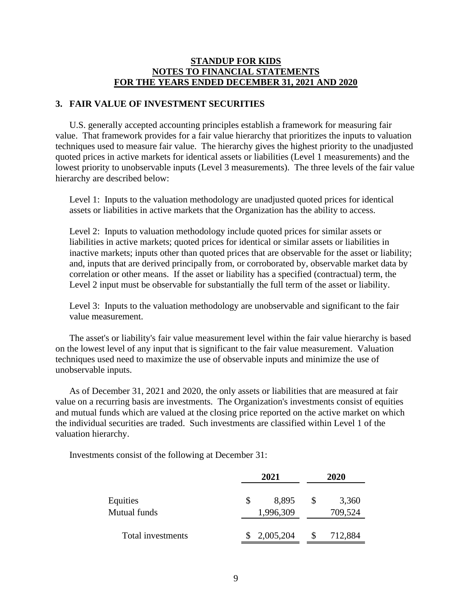#### **3. FAIR VALUE OF INVESTMENT SECURITIES**

U.S. generally accepted accounting principles establish a framework for measuring fair value. That framework provides for a fair value hierarchy that prioritizes the inputs to valuation techniques used to measure fair value. The hierarchy gives the highest priority to the unadjusted quoted prices in active markets for identical assets or liabilities (Level 1 measurements) and the lowest priority to unobservable inputs (Level 3 measurements). The three levels of the fair value hierarchy are described below:

Level 1: Inputs to the valuation methodology are unadjusted quoted prices for identical assets or liabilities in active markets that the Organization has the ability to access.

Level 2: Inputs to valuation methodology include quoted prices for similar assets or liabilities in active markets; quoted prices for identical or similar assets or liabilities in inactive markets; inputs other than quoted prices that are observable for the asset or liability; and, inputs that are derived principally from, or corroborated by, observable market data by correlation or other means. If the asset or liability has a specified (contractual) term, the Level 2 input must be observable for substantially the full term of the asset or liability.

Level 3: Inputs to the valuation methodology are unobservable and significant to the fair value measurement.

The asset's or liability's fair value measurement level within the fair value hierarchy is based on the lowest level of any input that is significant to the fair value measurement. Valuation techniques used need to maximize the use of observable inputs and minimize the use of unobservable inputs.

As of December 31, 2021 and 2020, the only assets or liabilities that are measured at fair value on a recurring basis are investments. The Organization's investments consist of equities and mutual funds which are valued at the closing price reported on the active market on which the individual securities are traded. Such investments are classified within Level 1 of the valuation hierarchy.

Investments consist of the following at December 31:

|                          | 2021 | 2020               |   |                  |  |
|--------------------------|------|--------------------|---|------------------|--|
| Equities<br>Mutual funds | S    | 8,895<br>1,996,309 |   | 3,360<br>709,524 |  |
| Total investments        |      | 2,005,204          | S | 712,884          |  |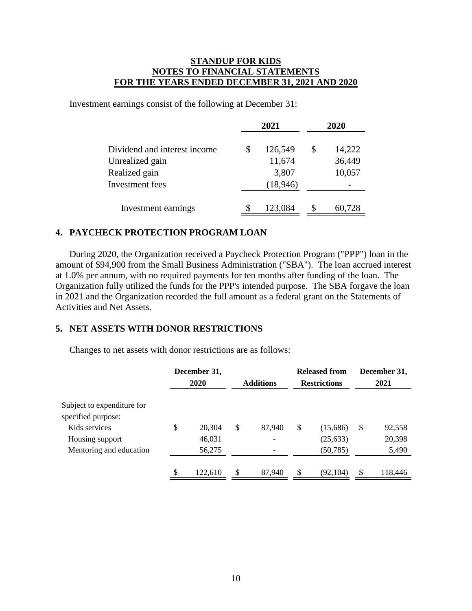Investment earnings consist of the following at December 31:

|                              |    | 2021     | 2020 |        |  |
|------------------------------|----|----------|------|--------|--|
| Dividend and interest income | \$ | 126,549  | \$   | 14,222 |  |
| Unrealized gain              |    | 11,674   |      | 36,449 |  |
| Realized gain                |    | 3,807    |      | 10,057 |  |
| Investment fees              |    | (18,946) |      |        |  |
| Investment earnings          | S  | 123,084  |      | 60,728 |  |

### **4. PAYCHECK PROTECTION PROGRAM LOAN**

During 2020, the Organization received a Paycheck Protection Program ("PPP") loan in the amount of \$94,900 from the Small Business Administration ("SBA"). The loan accrued interest at 1.0% per annum, with no required payments for ten months after funding of the loan. The Organization fully utilized the funds for the PPP's intended purpose. The SBA forgave the loan in 2021 and the Organization recorded the full amount as a federal grant on the Statements of Activities and Net Assets.

## **5. NET ASSETS WITH DONOR RESTRICTIONS**

Changes to net assets with donor restrictions are as follows:

|                                                  | December 31,<br>2020 | <b>Additions</b> |    | <b>Released from</b><br><b>Restrictions</b> | December 31,<br>2021 |
|--------------------------------------------------|----------------------|------------------|----|---------------------------------------------|----------------------|
| Subject to expenditure for<br>specified purpose: |                      |                  |    |                                             |                      |
| Kids services                                    | \$<br>20,304         | \$<br>87,940     | \$ | (15,686)                                    | \$<br>92,558         |
| Housing support                                  | 46,031               |                  |    | (25, 633)                                   | 20,398               |
| Mentoring and education                          | 56,275               |                  |    | (50, 785)                                   | 5,490                |
|                                                  | \$<br>122.610        | \$<br>87,940     | S  | (92.104)                                    | \$<br>118,446        |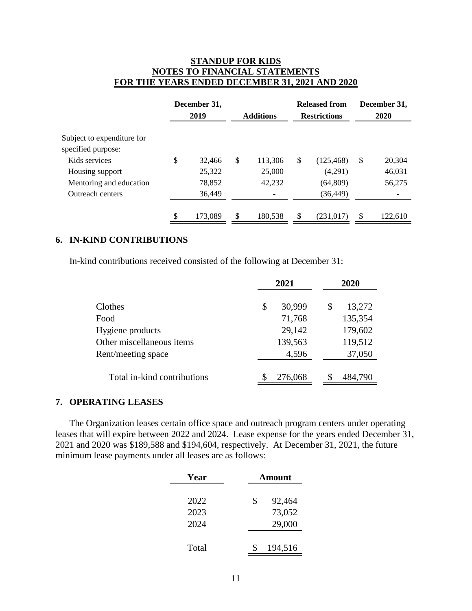|                                                  | December 31,<br>2019 | <b>Additions</b> |               | <b>Released from</b><br><b>Restrictions</b> | December 31,<br>2020 |
|--------------------------------------------------|----------------------|------------------|---------------|---------------------------------------------|----------------------|
| Subject to expenditure for<br>specified purpose: |                      |                  |               |                                             |                      |
| Kids services                                    | \$<br>32,466         | \$<br>113,306    | S.            | (125, 468)                                  | \$<br>20,304         |
| Housing support                                  | 25,322               | 25,000           |               | (4,291)                                     | 46,031               |
| Mentoring and education                          | 78,852               | 42,232           |               | (64, 809)                                   | 56,275               |
| <b>Outreach centers</b>                          | 36,449               |                  |               | (36,449)                                    |                      |
|                                                  | \$<br>173,089        | \$<br>180,538    | <sup>\$</sup> | (231, 017)                                  | \$<br>122,610        |

## **6. IN-KIND CONTRIBUTIONS**

In-kind contributions received consisted of the following at December 31:

|                             | 2021         | 2020         |
|-----------------------------|--------------|--------------|
| Clothes                     | 30,999<br>\$ | 13,272<br>\$ |
| Food                        | 71,768       | 135,354      |
| Hygiene products            | 29,142       | 179,602      |
| Other miscellaneous items   | 139,563      | 119,512      |
| Rent/meeting space          | 4,596        | 37,050       |
| Total in-kind contributions | 276,068      | 484,790      |

#### **7. OPERATING LEASES**

The Organization leases certain office space and outreach program centers under operating leases that will expire between 2022 and 2024. Lease expense for the years ended December 31, 2021 and 2020 was \$189,588 and \$194,604, respectively. At December 31, 2021, the future minimum lease payments under all leases are as follows:

| Year  | <b>Amount</b> |
|-------|---------------|
| 2022  | \$<br>92,464  |
| 2023  | 73,052        |
| 2024  | 29,000        |
|       |               |
| Total | 194,516       |